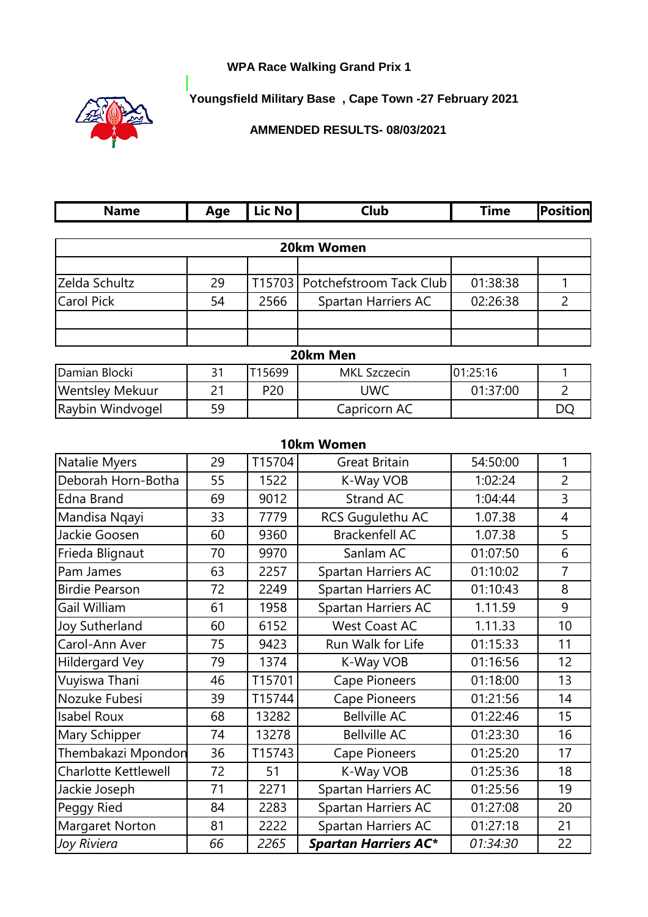## **WPA Race Walking Grand Prix 1**



Г

**Youngsfield Military Base , Cape Town -27 February 2021**

**AMMENDED RESULTS- 08/03/2021**

| <b>Name</b>                 | Age | Lic No          | <b>Club</b>                 | <b>Time</b> | <b>Position</b> |
|-----------------------------|-----|-----------------|-----------------------------|-------------|-----------------|
|                             |     |                 | 20km Women                  |             |                 |
|                             |     |                 |                             |             |                 |
| Zelda Schultz               | 29  | T15703          | Potchefstroom Tack Club     | 01:38:38    | 1               |
| <b>Carol Pick</b>           | 54  | 2566            | Spartan Harriers AC         | 02:26:38    | $\overline{2}$  |
|                             |     |                 |                             |             |                 |
|                             |     |                 |                             |             |                 |
|                             |     |                 | 20km Men                    |             |                 |
| Damian Blocki               | 31  | T15699          | <b>MKL Szczecin</b>         | 01:25:16    | 1               |
| <b>Wentsley Mekuur</b>      | 21  | P <sub>20</sub> | <b>UWC</b>                  | 01:37:00    | $\overline{2}$  |
| Raybin Windvogel            | 59  |                 | Capricorn AC                |             | <b>DQ</b>       |
|                             |     |                 |                             |             |                 |
|                             |     |                 | 10km Women                  |             |                 |
| Natalie Myers               | 29  | T15704          | <b>Great Britain</b>        | 54:50:00    | 1               |
| Deborah Horn-Botha          | 55  | 1522            | K-Way VOB                   | 1:02:24     | $\overline{2}$  |
| <b>Edna Brand</b>           | 69  | 9012            | <b>Strand AC</b>            | 1:04:44     | 3               |
| Mandisa Nqayi               | 33  | 7779            | RCS Gugulethu AC            | 1.07.38     | $\overline{4}$  |
| Jackie Goosen               | 60  | 9360            | <b>Brackenfell AC</b>       | 1.07.38     | 5               |
| Frieda Blignaut             | 70  | 9970            | Sanlam AC                   | 01:07:50    | 6               |
| Pam James                   | 63  | 2257            | Spartan Harriers AC         | 01:10:02    | $\overline{7}$  |
| <b>Birdie Pearson</b>       | 72  | 2249            | Spartan Harriers AC         | 01:10:43    | 8               |
| Gail William                | 61  | 1958            | Spartan Harriers AC         | 1.11.59     | 9               |
| Joy Sutherland              | 60  | 6152            | <b>West Coast AC</b>        | 1.11.33     | 10              |
| Carol-Ann Aver              | 75  | 9423            | Run Walk for Life           | 01:15:33    | 11              |
| Hildergard Vey              | 79  | 1374            | K-Way VOB                   | 01:16:56    | 12              |
| Vuyiswa Thani               | 46  | T15701          | <b>Cape Pioneers</b>        | 01:18:00    | 13              |
| Nozuke Fubesi               | 39  | T15744          | Cape Pioneers               | 01:21:56    | 14              |
| <b>Isabel Roux</b>          | 68  | 13282           | <b>Bellville AC</b>         | 01:22:46    | 15              |
| Mary Schipper               | 74  | 13278           | <b>Bellville AC</b>         | 01:23:30    | 16              |
| Thembakazi Mpondon          | 36  | T15743          | Cape Pioneers               | 01:25:20    | 17              |
| <b>Charlotte Kettlewell</b> | 72  | 51              | K-Way VOB                   | 01:25:36    | 18              |
| Jackie Joseph               | 71  | 2271            | Spartan Harriers AC         | 01:25:56    | 19              |
| Peggy Ried                  | 84  | 2283            | Spartan Harriers AC         | 01:27:08    | 20              |
| Margaret Norton             | 81  | 2222            | Spartan Harriers AC         | 01:27:18    | 21              |
| Joy Riviera                 | 66  | 2265            | <b>Spartan Harriers AC*</b> | 01:34:30    | 22              |